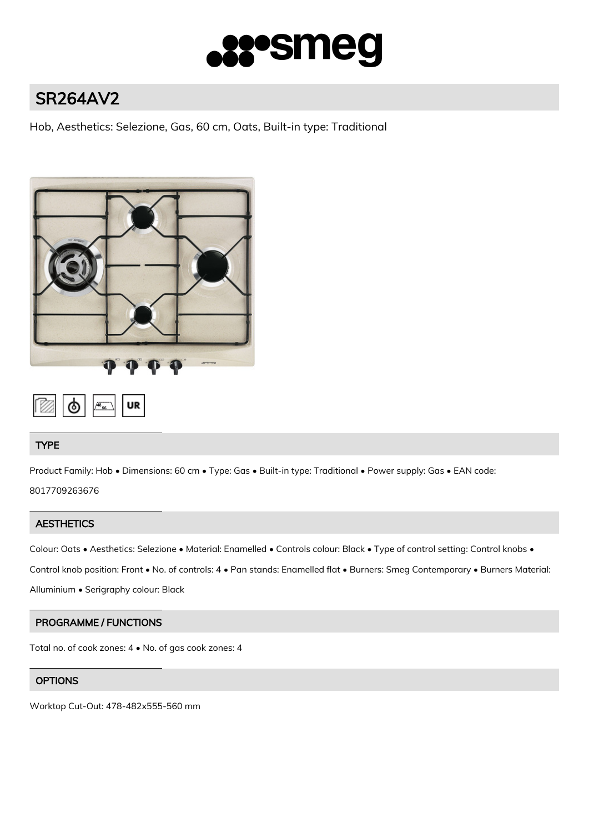

# SR264AV2

Hob, Aesthetics: Selezione, Gas, 60 cm, Oats, Built-in type: Traditional





# TYPE

Product Family: Hob • Dimensions: 60 cm • Type: Gas • Built-in type: Traditional • Power supply: Gas • EAN code:

8017709263676

# **AESTHETICS**

Colour: Oats • Aesthetics: Selezione • Material: Enamelled • Controls colour: Black • Type of control setting: Control knobs •

Control knob position: Front • No. of controls: 4 • Pan stands: Enamelled flat • Burners: Smeg Contemporary • Burners Material:

Alluminium • Serigraphy colour: Black

# PROGRAMME / FUNCTIONS

Total no. of cook zones: 4 • No. of gas cook zones: 4

# **OPTIONS**

Worktop Cut-Out: 478-482x555-560 mm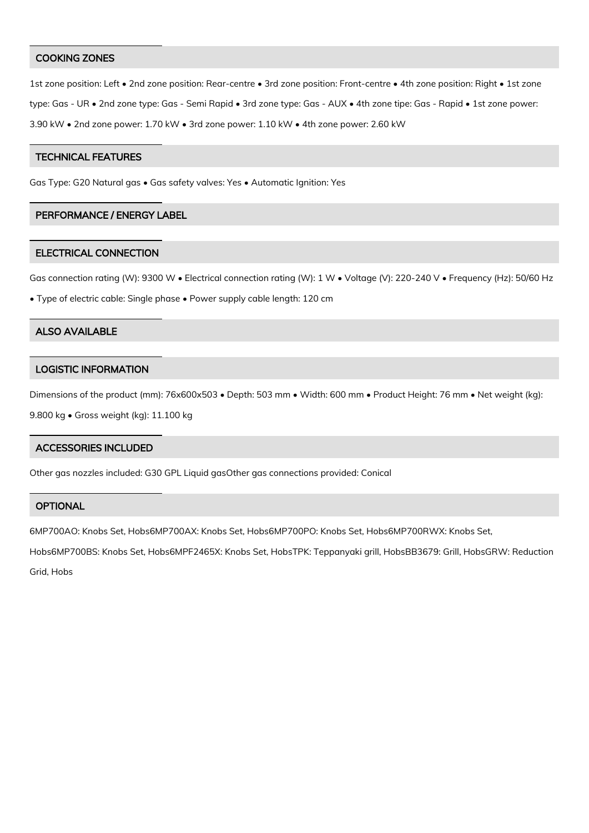#### COOKING ZONES

1st zone position: Left • 2nd zone position: Rear-centre • 3rd zone position: Front-centre • 4th zone position: Right • 1st zone type: Gas - UR • 2nd zone type: Gas - Semi Rapid • 3rd zone type: Gas - AUX • 4th zone tipe: Gas - Rapid • 1st zone power: 3.90 kW • 2nd zone power: 1.70 kW • 3rd zone power: 1.10 kW • 4th zone power: 2.60 kW

## TECHNICAL FEATURES

Gas Type: G20 Natural gas • Gas safety valves: Yes • Automatic Ignition: Yes

## PERFORMANCE / ENERGY LABEL

#### ELECTRICAL CONNECTION

Gas connection rating (W): 9300 W • Electrical connection rating (W): 1 W • Voltage (V): 220-240 V • Frequency (Hz): 50/60 Hz

• Type of electric cable: Single phase • Power supply cable length: 120 cm

### ALSO AVAILABLE

#### LOGISTIC INFORMATION

Dimensions of the product (mm): 76x600x503 • Depth: 503 mm • Width: 600 mm • Product Height: 76 mm • Net weight (kg):

9.800 kg • Gross weight (kg): 11.100 kg

#### ACCESSORIES INCLUDED

Other gas nozzles included: G30 GPL Liquid gasOther gas connections provided: Conical

## **OPTIONAL**

6MP700AO: Knobs Set, Hobs6MP700AX: Knobs Set, Hobs6MP700PO: Knobs Set, Hobs6MP700RWX: Knobs Set,

Hobs6MP700BS: Knobs Set, Hobs6MPF2465X: Knobs Set, HobsTPK: Teppanyaki grill, HobsBB3679: Grill, HobsGRW: Reduction

Grid, Hobs